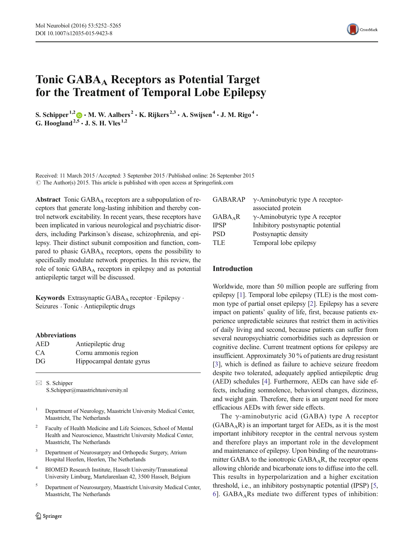

# Tonic GABA<sub>A</sub> Receptors as Potential Target for the Treatment of Temporal Lobe Epilepsy

S. Schipper<sup>1,2</sup>  $\bigcirc$   $\cdot$  M. W. Aalbers<sup>2</sup>  $\cdot$  K. Rijkers<sup>2,3</sup>  $\cdot$  A. Swijsen<sup>4</sup>  $\cdot$  J. M. Rigo<sup>4</sup>  $\cdot$ G. Hoogland<sup>2,5</sup>  $\cdot$  J. S. H. Vles<sup>1,2</sup>

Received: 11 March 2015 /Accepted: 3 September 2015 / Published online: 26 September 2015  $\odot$  The Author(s) 2015. This article is published with open access at Springerlink.com

Abstract Tonic  $GABA_A$  receptors are a subpopulation of receptors that generate long-lasting inhibition and thereby control network excitability. In recent years, these receptors have been implicated in various neurological and psychiatric disorders, including Parkinson's disease, schizophrenia, and epilepsy. Their distinct subunit composition and function, compared to phasic GABA<sub>A</sub> receptors, opens the possibility to specifically modulate network properties. In this review, the role of tonic GABA<sub>A</sub> receptors in epilepsy and as potential antiepileptic target will be discussed.

Keywords Extrasynaptic GABA<sub>A</sub> receptor  $\cdot$  Epilepsy  $\cdot$ Seizures . Tonic . Antiepileptic drugs

| <b>Abbreviations</b>      |
|---------------------------|
| Antiepileptic drug        |
| Cornu ammonis region      |
| Hippocampal dentate gyrus |
|                           |

 $\boxtimes$  S. Schipper S.Schipper@maastrichtuniversity.nl

- <sup>2</sup> Faculty of Health Medicine and Life Sciences, School of Mental Health and Neuroscience, Maastricht University Medical Center, Maastricht, The Netherlands
- Department of Neurosurgery and Orthopedic Surgery, Atrium Hospital Heerlen, Heerlen, The Netherlands
- <sup>4</sup> BIOMED Research Institute, Hasselt University/Transnational University Limburg, Martelarenlaan 42, 3500 Hasselt, Belgium
- <sup>5</sup> Department of Neurosurgery, Maastricht University Medical Center, Maastricht, The Netherlands

| <b>GABARAP</b>      | $\gamma$ -Aminobutyric type A receptor- |
|---------------------|-----------------------------------------|
|                     | associated protein                      |
| GABA <sub>A</sub> R | $\gamma$ -Aminobutyric type A receptor  |
| <b>IPSP</b>         | Inhibitory postsynaptic potential       |
| <b>PSD</b>          | Postsynaptic density                    |
| <b>TLE</b>          | Temporal lobe epilepsy                  |

# Introduction

Worldwide, more than 50 million people are suffering from epilepsy [\[1](#page-9-0)]. Temporal lobe epilepsy (TLE) is the most common type of partial onset epilepsy [\[2](#page-9-0)]. Epilepsy has a severe impact on patients' quality of life, first, because patients experience unpredictable seizures that restrict them in activities of daily living and second, because patients can suffer from several neuropsychiatric comorbidities such as depression or cognitive decline. Current treatment options for epilepsy are insufficient. Approximately 30 % of patients are drug resistant [\[3](#page-9-0)], which is defined as failure to achieve seizure freedom despite two tolerated, adequately applied antiepileptic drug (AED) schedules [\[4](#page-9-0)]. Furthermore, AEDs can have side effects, including somnolence, behavioral changes, dizziness, and weight gain. Therefore, there is an urgent need for more efficacious AEDs with fewer side effects.

The  $\gamma$ -aminobutyric acid (GABA) type A receptor  $(GABA<sub>A</sub>R)$  is an important target for AEDs, as it is the most important inhibitory receptor in the central nervous system and therefore plays an important role in the development and maintenance of epilepsy. Upon binding of the neurotransmitter GABA to the ionotropic  $GABA_A R$ , the receptor opens allowing chloride and bicarbonate ions to diffuse into the cell. This results in hyperpolarization and a higher excitation threshold, i.e., an inhibitory postsynaptic potential (IPSP) [[5,](#page-9-0) [6](#page-9-0)]. GABA<sub>A</sub>Rs mediate two different types of inhibition:

<sup>&</sup>lt;sup>1</sup> Department of Neurology, Maastricht University Medical Center, Maastricht, The Netherlands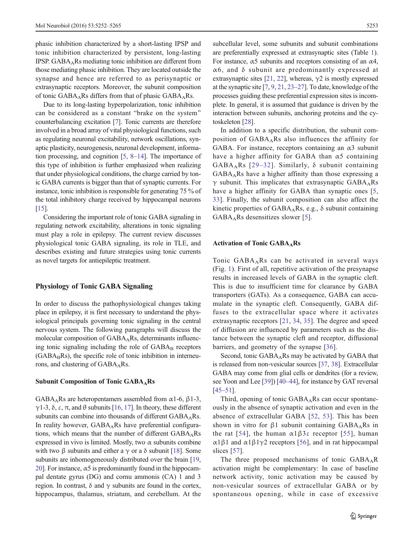phasic inhibition characterized by a short-lasting IPSP and tonic inhibition characterized by persistent, long-lasting IPSP.  $GABA<sub>A</sub>Rs$  mediating tonic inhibition are different from those mediating phasic inhibition. They are located outside the synapse and hence are referred to as perisynaptic or extrasynaptic receptors. Moreover, the subunit composition of tonic  $GABA<sub>A</sub>Rs$  differs from that of phasic  $GABA<sub>A</sub>Rs$ .

Due to its long-lasting hyperpolarization, tonic inhibition can be considered as a constant "brake on the system" counterbalancing excitation [[7](#page-9-0)]. Tonic currents are therefore involved in a broad array of vital physiological functions, such as regulating neuronal excitability, network oscillations, synaptic plasticity, neurogenesis, neuronal development, information processing, and cognition [[5,](#page-9-0) [8](#page-9-0)–[14\]](#page-9-0). The importance of this type of inhibition is further emphasized when realizing that under physiological conditions, the charge carried by tonic GABA currents is bigger than that of synaptic currents. For instance, tonic inhibition is responsible for generating 75 % of the total inhibitory charge received by hippocampal neurons [\[15\]](#page-9-0).

Considering the important role of tonic GABA signaling in regulating network excitability, alterations in tonic signaling must play a role in epilepsy. The current review discusses physiological tonic GABA signaling, its role in TLE, and describes existing and future strategies using tonic currents as novel targets for antiepileptic treatment.

## Physiology of Tonic GABA Signaling

In order to discuss the pathophysiological changes taking place in epilepsy, it is first necessary to understand the physiological principals governing tonic signaling in the central nervous system. The following paragraphs will discuss the molecular composition of  $GABA<sub>A</sub>Rs$ , determinants influencing tonic signaling including the role of  $GABA_B$  receptors  $(GABA_BRs)$ , the specific role of tonic inhibition in interneurons, and clustering of  $GABA<sub>A</sub>Rs$ .

### Subunit Composition of Tonic GABA<sub>A</sub>Rs

 $GABA<sub>A</sub>Rs$  are heteropentamers assembled from  $\alpha$ 1-6,  $\beta$ 1-3,  $γ1-3, δ, ε, π, and θ subunits [16, 17]$  $γ1-3, δ, ε, π, and θ subunits [16, 17]$  $γ1-3, δ, ε, π, and θ subunits [16, 17]$  $γ1-3, δ, ε, π, and θ subunits [16, 17]$  $γ1-3, δ, ε, π, and θ subunits [16, 17]$ . In theory, these different subunits can combine into thousands of different  $GABA_ARs$ . In reality however, GABA<sub>A</sub>Rs have preferential configurations, which means that the number of different  $GABA_ARs$ expressed in vivo is limited. Mostly, two  $\alpha$  subunits combine with two β subunits and either a  $\gamma$  or a δ subunit [[18\]](#page-9-0). Some subunits are inhomogeneously distributed over the brain [[19,](#page-9-0) [20\]](#page-9-0). For instance,  $\alpha$ 5 is predominantly found in the hippocampal dentate gyrus (DG) and cornu ammonis (CA) 1 and 3 region. In contrast, δ and  $γ$  subunits are found in the cortex, hippocampus, thalamus, striatum, and cerebellum. At the subcellular level, some subunits and subunit combinations are preferentially expressed at extrasynaptic sites (Table [1\)](#page-2-0). For instance,  $\alpha$ 5 subunits and receptors consisting of an  $\alpha$ 4,  $\alpha$ 6, and  $\delta$  subunit are predominantly expressed at extrasynaptic sites [\[21](#page-9-0), [22](#page-9-0)], whereas,  $\gamma$ 2 is mostly expressed at the synaptic site [\[7,](#page-9-0) [9](#page-9-0), [21](#page-9-0), [23](#page-9-0)–[27\]](#page-9-0). To date, knowledge of the processes guiding these preferential expression sites is incomplete. In general, it is assumed that guidance is driven by the interaction between subunits, anchoring proteins and the cytoskeleton [[28](#page-9-0)].

In addition to a specific distribution, the subunit composition of  $GABA<sub>A</sub>Rs$  also influences the affinity for GABA. For instance, receptors containing an  $\alpha$ 3 subunit have a higher affinity for GABA than  $\alpha$ 5 containing GABA<sub>A</sub>Rs [[29](#page-9-0)–[32](#page-10-0)]. Similarly,  $\delta$  subunit containing  $GABA<sub>A</sub>$ Rs have a higher affinity than those expressing a  $\gamma$  subunit. This implicates that extrasynaptic GABA<sub>A</sub>Rs have a higher affinity for GABA than synaptic ones [[5,](#page-9-0) [33](#page-10-0)]. Finally, the subunit composition can also affect the kinetic properties of  $GABA_ARs$ , e.g.,  $\delta$  subunit containing  $GABA<sub>A</sub>Rs$  desensitizes slower [\[5](#page-9-0)].

#### Activation of Tonic GABA<sub>A</sub>Rs

Tonic  $GABA_ARs$  can be activated in several ways (Fig. [1](#page-2-0)). First of all, repetitive activation of the presynapse results in increased levels of GABA in the synaptic cleft. This is due to insufficient time for clearance by GABA transporters (GATs). As a consequence, GABA can accumulate in the synaptic cleft. Consequently, GABA diffuses to the extracellular space where it activates extrasynaptic receptors [[21](#page-9-0), [34,](#page-10-0) [35](#page-10-0)]. The degree and speed of diffusion are influenced by parameters such as the distance between the synaptic cleft and receptor, diffusional barriers, and geometry of the synapse [\[36\]](#page-10-0).

Second, tonic GABA<sub>A</sub>Rs may be activated by GABA that is released from non-vesicular sources [\[37](#page-10-0), [38](#page-10-0)]. Extracellular GABA may come from glial cells or dendrites (for a review, see Yoon and Lee [\[39\]](#page-10-0)) [\[40](#page-10-0)–[44\]](#page-10-0), for instance by GAT reversal [\[45](#page-10-0)–[51\]](#page-10-0).

Third, opening of tonic  $GABA<sub>A</sub>Rs$  can occur spontaneously in the absence of synaptic activation and even in the absence of extracellular GABA [\[52,](#page-10-0) [53\]](#page-10-0). This has been shown in vitro for  $\beta$ 1 subunit containing GABA<sub>A</sub>Rs in the rat [[54](#page-10-0)], the human  $\alpha$ 1β3ε receptor [[55\]](#page-10-0), human α1β1 and α1β1γ2 receptors [[56](#page-10-0)], and in rat hippocampal slices [[57](#page-10-0)].

The three proposed mechanisms of tonic  $GABA_A R$ activation might be complementary: In case of baseline network activity, tonic activation may be caused by non-vesicular sources of extracellular GABA or by spontaneous opening, while in case of excessive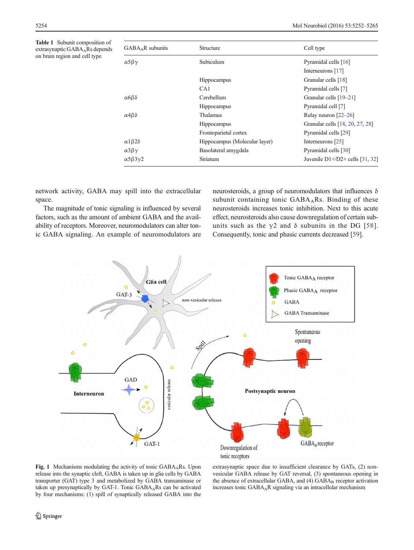<span id="page-2-0"></span>Table 1 Subunit composition of extrasynaptic GABAARs depends on brain region and cell type

| $GABAAR$ subunits               | Structure                     | Cell type                         |
|---------------------------------|-------------------------------|-----------------------------------|
| $\alpha$ 5 $\beta$ $\gamma$     | Subiculum                     | Pyramidal cells [16]              |
|                                 |                               | Interneurons [17]                 |
|                                 | <b>Hippocampus</b>            | Granular cells [18]               |
|                                 | CA <sub>1</sub>               | Pyramidal cells [7]               |
| $\alpha$ 6 $\beta$ δ            | Cerebellum                    | Granular cells [19-21]            |
|                                 | <b>Hippocampus</b>            | Pyramidal cell [7]                |
| $\alpha$ 4 $\beta$ δ            | <b>Thalamus</b>               | Relay neuron [22-26]              |
|                                 | <b>Hippocampus</b>            | Granular cells [18, 20, 27, 28]   |
|                                 | Frontoparietal cortex         | Pyramidal cells [29]              |
| $\alpha$ 1 $\beta$ 2 $\delta$   | Hippocampus (Molecular layer) | Interneurons [25]                 |
| $\alpha$ 3 $\beta$ $\gamma$     | Basolateral amygdala          | Pyramidal cells [30]              |
| $\alpha$ 5 $\beta$ 3 $\gamma$ 2 | Striatum                      | Juvenile $D1+/D2+$ cells [31, 32] |

network activity, GABA may spill into the extracellular space.

The magnitude of tonic signaling is influenced by several factors, such as the amount of ambient GABA and the availability of receptors. Moreover, neuromodulators can alter tonic GABA signaling. An example of neuromodulators are neurosteroids, a group of neuromodulators that influences δ subunit containing tonic  $GABA<sub>A</sub>Rs$ . Binding of these neurosteroids increases tonic inhibition. Next to this acute effect, neurosteroids also cause downregulation of certain subunits such as the  $\gamma$ 2 and  $\delta$  subunits in the DG [[58](#page-10-0)]. Consequently, tonic and phasic currents decreased [\[59](#page-10-0)].



Fig. 1 Mechanisms modulating the activity of tonic GABA<sub>A</sub>Rs. Upon release into the synaptic cleft, GABA is taken up in glia cells by GABA transporter (GAT) type 3 and metabolized by GABA transaminase or taken up presynaptically by GAT-1. Tonic  $GABA<sub>A</sub>Rs$  can be activated by four mechanisms: (1) spill of synaptically released GABA into the

extrasynaptic space due to insufficient clearance by GATs, (2) nonvesicular GABA release by GAT reversal, (3) spontaneous opening in the absence of extracellular GABA, and (4) GABAB receptor activation increases tonic GABA<sub>A</sub>R signaling via an intracellular mechanism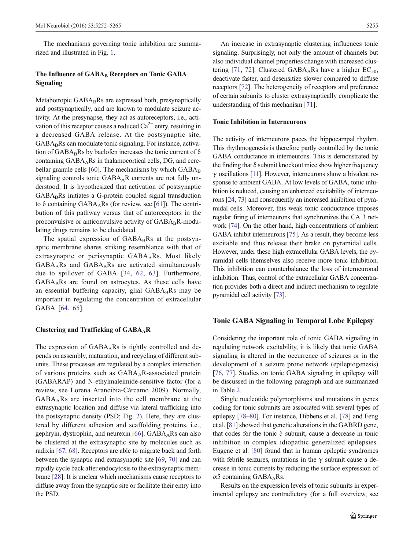The mechanisms governing tonic inhibition are summarized and illustrated in Fig. [1.](#page-2-0)

# The Influence of  $GABA_B$  Receptors on Tonic  $GABA$ Signaling

Metabotropic  $GABA_BRs$  are expressed both, presynaptically and postsynaptically, and are known to modulate seizure activity. At the presynapse, they act as autoreceptors, i.e., activation of this receptor causes a reduced  $Ca^{2+}$  entry, resulting in a decreased GABA release. At the postsynaptic site, GABA<sub>B</sub>Rs can modulate tonic signaling. For instance, activation of GABA<sub>B</sub>Rs by baclofen increases the tonic current of  $\delta$ containing  $GABA<sub>A</sub>Rs$  in thalamocortical cells, DG, and cere-bellar granule cells [[60](#page-10-0)]. The mechanisms by which  $GABA_B$ signaling controls tonic GABAAR currents are not fully understood. It is hypothesized that activation of postsynaptic  $GABA_BRs$  initiates a G-protein coupled signal transduction to δ containing  $GABA<sub>A</sub>Rs$  (for review, see [[61](#page-10-0)]). The contribution of this pathway versus that of autoreceptors in the proconvulsive or anticonvulsive activity of  $GABA_BR$ -modulating drugs remains to be elucidated.

The spatial expression of  $GABA_BRs$  at the postsynaptic membrane shares striking resemblance with that of extrasynaptic or perisynaptic  $GABA<sub>A</sub>Rs$ . Most likely  $GABA<sub>A</sub>Rs$  and  $GABA<sub>B</sub>Rs$  are activated simultaneously due to spillover of GABA [\[34,](#page-10-0) [62](#page-10-0), [63](#page-10-0)]. Furthermore,  $GABA_BRS$  are found on astrocytes. As these cells have an essential buffering capacity, glial  $GABA_BRs$  may be important in regulating the concentration of extracellular GABA [\[64,](#page-10-0) [65\]](#page-10-0).

## Clustering and Trafficking of GABAAR

The expression of  $GABA<sub>A</sub>Rs$  is tightly controlled and depends on assembly, maturation, and recycling of different subunits. These processes are regulated by a complex interaction of various proteins such as  $GABA_AR$ -associated protein (GABARAP) and N-ethylmaleimide-sensitive factor (for a review, see Lorena Arancibia-Cárcamo 2009). Normally,  $GABA<sub>A</sub>$ Rs are inserted into the cell membrane at the extrasynaptic location and diffuse via lateral trafficking into the postsynaptic density (PSD; Fig. [2\)](#page-4-0). Here, they are clustered by different adhesion and scaffolding proteins, i.e., gephryin, dystrophin, and neurexin [\[66](#page-10-0)].  $GABA<sub>A</sub>Rs$  can also be clustered at the extrasynaptic site by molecules such as radixin [\[67,](#page-10-0) [68\]](#page-10-0). Receptors are able to migrate back and forth between the synaptic and extrasynaptic site [\[69](#page-11-0), [70](#page-11-0)] and can rapidly cycle back after endocytosis to the extrasynaptic membrane [\[28\]](#page-9-0). It is unclear which mechanisms cause receptors to diffuse away from the synaptic site or facilitate their entry into the PSD.

An increase in extrasynaptic clustering influences tonic signaling. Surprisingly, not only the amount of channels but also individual channel properties change with increased clus-tering [\[71](#page-11-0), [72](#page-11-0)]. Clustered GABA<sub>A</sub>Rs have a higher  $EC_{50}$ , deactivate faster, and desensitize slower compared to diffuse receptors [\[72\]](#page-11-0). The heterogeneity of receptors and preference of certain subunits to cluster extrasynaptically complicate the understanding of this mechanism [[71\]](#page-11-0).

## Tonic Inhibition in Interneurons

The activity of interneurons paces the hippocampal rhythm. This rhythmogenesis is therefore partly controlled by the tonic GABA conductance in interneurons. This is demonstrated by the finding that  $\delta$  subunit knockout mice show higher frequency  $\gamma$  oscillations [\[11\]](#page-9-0). However, interneurons show a bivalent response to ambient GABA. At low levels of GABA, tonic inhibition is reduced, causing an enhanced excitability of interneurons [\[24](#page-9-0), [73\]](#page-11-0) and consequently an increased inhibition of pyramidal cells. Moreover, this weak tonic conductance imposes regular firing of interneurons that synchronizes the CA 3 network [[74](#page-11-0)]. On the other hand, high concentrations of ambient GABA inhibit interneurons [\[75](#page-11-0)]. As a result, they become less excitable and thus release their brake on pyramidal cells. However, under these high extracellular GABA levels, the pyramidal cells themselves also receive more tonic inhibition. This inhibition can counterbalance the loss of interneuronal inhibition. Thus, control of the extracellular GABA concentration provides both a direct and indirect mechanism to regulate pyramidal cell activity [[73](#page-11-0)].

## Tonic GABA Signaling in Temporal Lobe Epilepsy

Considering the important role of tonic GABA signaling in regulating network excitability, it is likely that tonic GABA signaling is altered in the occurrence of seizures or in the development of a seizure prone network (epileptogenesis) [\[76](#page-11-0), [77\]](#page-11-0). Studies on tonic GABA signaling in epilepsy will be discussed in the following paragraph and are summarized in Table [2](#page-5-0).

Single nucleotide polymorphisms and mutations in genes coding for tonic subunits are associated with several types of epilepsy [\[78](#page-11-0)–[80\]](#page-11-0). For instance, Dibbens et al. [[78](#page-11-0)] and Feng et al. [\[81](#page-11-0)] showed that genetic alterations in the GABRD gene, that codes for the tonic δ subunit, cause a decrease in tonic inhibition in complex idiopathic generalized epilepsies. Eugene et al. [[80\]](#page-11-0) found that in human epileptic syndromes with febrile seizures, mutations in the  $\gamma$  subunit cause a decrease in tonic currents by reducing the surface expression of  $\alpha$ 5 containing GABA<sub>A</sub>Rs.

Results on the expression levels of tonic subunits in experimental epilepsy are contradictory (for a full overview, see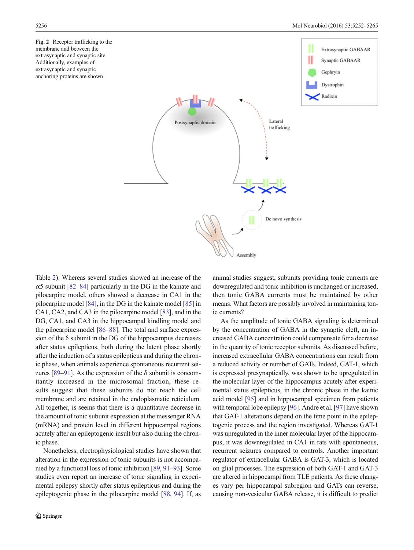<span id="page-4-0"></span>Fig. 2 Receptor trafficking to the membrane and between the extrasynaptic and synaptic site. Additionally, examples of extrasynaptic and synaptic anchoring proteins are shown



Table [2](#page-5-0)). Whereas several studies showed an increase of the  $\alpha$ 5 subunit [[82](#page-11-0)–[84](#page-11-0)] particularly in the DG in the kainate and pilocarpine model, others showed a decrease in CA1 in the pilocarpine model [\[84\]](#page-11-0), in the DG in the kainate model [\[85](#page-11-0)] in CA1, CA2, and CA3 in the pilocarpine model [[83](#page-11-0)], and in the DG, CA1, and CA3 in the hippocampal kindling model and the pilocarpine model [\[86](#page-11-0)–[88\]](#page-11-0). The total and surface expression of the  $\delta$  subunit in the DG of the hippocampus decreases after status epilepticus, both during the latent phase shortly after the induction of a status epilepticus and during the chronic phase, when animals experience spontaneous recurrent sei-zures [\[89](#page-11-0)–[91\]](#page-11-0). As the expression of the  $\delta$  subunit is concomitantly increased in the microsomal fraction, these results suggest that these subunits do not reach the cell membrane and are retained in the endoplasmatic reticiulum. All together, is seems that there is a quantitative decrease in the amount of tonic subunit expression at the messenger RNA (mRNA) and protein level in different hippocampal regions acutely after an epileptogenic insult but also during the chronic phase.

Nonetheless, electrophysiological studies have shown that alteration in the expression of tonic subunits is not accompanied by a functional loss of tonic inhibition [\[89](#page-11-0), [91](#page-11-0)–[93](#page-11-0)]. Some studies even report an increase of tonic signaling in experimental epilepsy shortly after status epilepticus and during the epileptogenic phase in the pilocarpine model [[88,](#page-11-0) [94](#page-11-0)]. If, as animal studies suggest, subunits providing tonic currents are downregulated and tonic inhibition is unchanged or increased, then tonic GABA currents must be maintained by other means. What factors are possibly involved in maintaining tonic currents?

As the amplitude of tonic GABA signaling is determined by the concentration of GABA in the synaptic cleft, an increased GABA concentration could compensate for a decrease in the quantity of tonic receptor subunits. As discussed before, increased extracellular GABA concentrations can result from a reduced activity or number of GATs. Indeed, GAT-1, which is expressed presynaptically, was shown to be upregulated in the molecular layer of the hippocampus acutely after experimental status epilepticus, in the chronic phase in the kainic acid model [[95\]](#page-11-0) and in hippocampal specimen from patients with temporal lobe epilepsy [\[96\]](#page-11-0). Andre et al. [[97](#page-11-0)] have shown that GAT-1 alterations depend on the time point in the epileptogenic process and the region investigated. Whereas GAT-1 was upregulated in the inner molecular layer of the hippocampus, it was downregulated in CA1 in rats with spontaneous, recurrent seizures compared to controls. Another important regulator of extracellular GABA is GAT-3, which is located on glial processes. The expression of both GAT-1 and GAT-3 are altered in hippocampi from TLE patients. As these changes vary per hippocampal subregion and GATs can reverse, causing non-vesicular GABA release, it is difficult to predict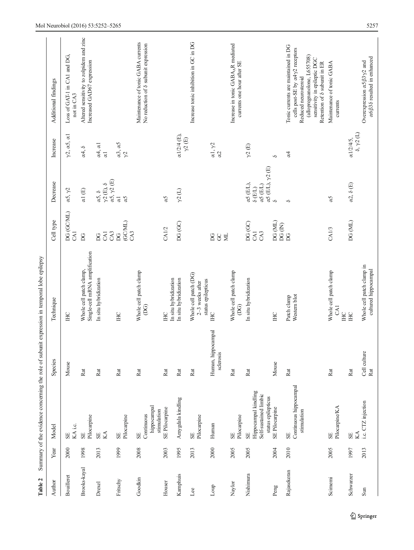<span id="page-5-0"></span>

| Table 2      |      |                                                                           |                                 | Summary of the evidence concerning the role of subunit expression in temporal lobe epilepsy |                                  |                                                                                                                                |                                          |                                                                                                                                                                                                              |
|--------------|------|---------------------------------------------------------------------------|---------------------------------|---------------------------------------------------------------------------------------------|----------------------------------|--------------------------------------------------------------------------------------------------------------------------------|------------------------------------------|--------------------------------------------------------------------------------------------------------------------------------------------------------------------------------------------------------------|
| Author       | Year | Model                                                                     | Species                         | Technique                                                                                   | Cell type                        | Decrease                                                                                                                       | Increase                                 | Additional findings                                                                                                                                                                                          |
| Bouilleret   | 2000 | KA i.c.<br>$\rm SE$                                                       | Mouse                           | E                                                                                           | DG (GC/ML)<br>CAI                | $\alpha 5, \gamma 2$                                                                                                           | $\gamma$ 2, $\alpha$ 5, $\alpha$ 1       | Loss of GAT-1 in CA1 and DG,<br>not in CA3                                                                                                                                                                   |
| Brooks-kayal | 1998 | Pilocarpine<br>SE                                                         | Rat                             | Single-cell mRNA amplification<br>Whole cell patch clamp,                                   | DG                               | $\alpha 1$ (E)                                                                                                                 | α4, δ                                    | Altered sensitivity to zolpidem and zinc<br>Increased GAD67 expression                                                                                                                                       |
| Drexel       | 2013 | KA<br>$\overline{\text{SE}}$                                              | Rat                             | In situ hybridization                                                                       | CA3<br>CAI<br>$\overline{C}$     | $\alpha$ 5, $\gamma$ 2 (E)<br>$\begin{array}{c} \alpha \mathcal{S}, \ \delta \\ \gamma 2 \ (\mathbb{E}), \ \delta \end{array}$ | $\alpha 4, \alpha 1$<br>$\alpha$         |                                                                                                                                                                                                              |
| Fritschy     | 1999 | Pilocarpine<br>SE                                                         | Rat                             | HC                                                                                          | (GC/ML)<br>CA3<br><b>DG</b>      | $\alpha$<br>$\alpha$ 5                                                                                                         | $\frac{\alpha 3}{\gamma 2}$ , $\alpha 5$ |                                                                                                                                                                                                              |
| Goodkin      | 2008 | hippocampal<br>stimulation<br>Continuous<br>$\rm SE$                      | Rat                             | Whole cell patch clamp<br>$\widehat{D}$ G)                                                  |                                  |                                                                                                                                |                                          | Maintenance of tonic GABA currents<br>No reduction of $\delta$ subunit expression                                                                                                                            |
| Houser       | 2003 | SE Pilocarpine                                                            | Rat                             | In situ hybridization<br>HC                                                                 | CA1/2                            | $\infty$                                                                                                                       |                                          |                                                                                                                                                                                                              |
| Kamphuis     | 1995 | Amygdala kindling                                                         | Rat                             | In situ hybridization                                                                       | DG <sub>(GC)</sub>               | $Y^2(L)$                                                                                                                       | $\alpha 1/2/4$ (E),<br>$Y^2(E)$          |                                                                                                                                                                                                              |
| Lee          | 2013 | Pilocarpine<br>$\rm{SE}$                                                  | Rat                             | Whole cell patch (DG)<br>status epilepticus<br>$2-3$ weeks after                            |                                  |                                                                                                                                |                                          | Increase tonic inhibition in GC in DG                                                                                                                                                                        |
| Loup         | 2000 | Human                                                                     | Human, hippocampal<br>sclerosis | HC                                                                                          | DG<br>G <sub>C</sub><br><b>N</b> |                                                                                                                                | $\alpha l, \gamma 2$<br>$\alpha$         |                                                                                                                                                                                                              |
| Naylor       | 2005 | Pilocarpine<br>$\overline{\text{SE}}$                                     | Rat                             | Whole cell patch clamp<br>ê                                                                 |                                  |                                                                                                                                |                                          | Increase in tonic GABA <sub>A</sub> R mediated<br>currents one hour after SE                                                                                                                                 |
| Nishimura    | 2005 | Hippocampal kindling<br>Self-sustained limbic<br>status epilepticus<br>SE | Rat                             | In situ hybridization                                                                       | DG <sub>(GC)</sub><br>CA3<br>CAI | $\alpha 5$ (E/L), $\gamma 2$ (E)<br>$\alpha5$ (E/L),<br>$\alpha5$ (E/L)<br>$\delta$ (EL)                                       | $\gamma 2$ (E)                           |                                                                                                                                                                                                              |
| Peng         | 2004 | SE Pilocarpine                                                            | Mouse                           | HC                                                                                          | DG <sub>(ML)</sub><br>DG (IN)    | $\delta$                                                                                                                       | $\infty$                                 |                                                                                                                                                                                                              |
| Rajasekeran  | 2010 | Continuous hippocampal<br>stimulation<br>SE                               | Rat                             | Western blot<br>Patch clamp                                                                 | $\overline{D}G$                  | δ                                                                                                                              | $\alpha$                                 | Tonic currents are maintained in DG<br>cells post-SE by $\alpha$ 4y2 receptors<br>(allopregnanolone, L655708)<br>sensitivity in epileptic DGC<br>Retention of $\delta$ subunit in ER<br>Reduced neurosteroid |
| Scimemi      | 2005 | Pilocarpine/KA<br>SE                                                      | Rat                             | Whole cell patch clamp<br>CA1<br>HС                                                         | CA1/3                            | $\infty$                                                                                                                       |                                          | Maintenance of tonic GABA<br>currents                                                                                                                                                                        |
| Schwarzer    | 1997 | KA<br>$\rm SE$                                                            | Rat                             | H <sub>C</sub>                                                                              | DG <sub>(ML)</sub>               | α2, δ (E)                                                                                                                      | $\delta, \gamma$ 2 (L)<br>α1/2/4/5,      |                                                                                                                                                                                                              |
| Sun          | 2013 | i.c. CTZ injection                                                        | Cell culture<br>Rat             | Whole cell patch clamp in<br>cultured hippocampal                                           |                                  |                                                                                                                                |                                          | α6β3δ resulted in enhanced<br>Overexpression $\alpha$ 5 $\beta$ 3 $\gamma$ 2 and                                                                                                                             |

 $\underline{\textcircled{\tiny 2}}$  Springer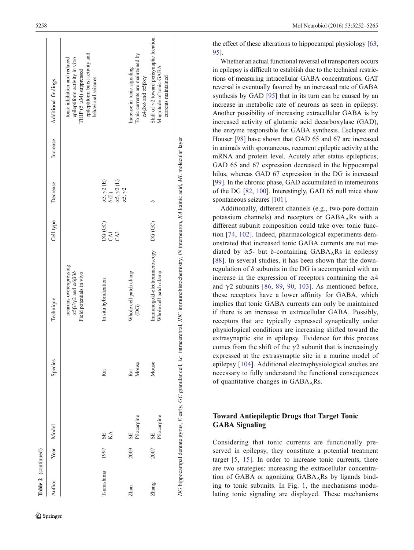| Table 2 (continued) |      |                   |              |                                                                                                                                                           |                       |                                                                                                               |          |                                                                                                                                                    |
|---------------------|------|-------------------|--------------|-----------------------------------------------------------------------------------------------------------------------------------------------------------|-----------------------|---------------------------------------------------------------------------------------------------------------|----------|----------------------------------------------------------------------------------------------------------------------------------------------------|
| Author              |      | Year Model        | Species      | Technique                                                                                                                                                 | Cell type             | Decrease                                                                                                      | Increase | Additional findings                                                                                                                                |
|                     |      |                   |              | neurons overexpressing<br>$\alpha$ 5 $\beta$ 3 $\gamma$ 2 and $\alpha$ 6 $\beta$ 38<br>Field potentials in vivo                                           |                       |                                                                                                               |          | epileptiform burst activity and<br>tonic inhibition and reduced<br>epileptiform activity in vitro<br>THIP (5 µM) suppressed<br>behavioral seizures |
| Tsunashima          | 1997 | KA<br>$\text{SE}$ | Rat          | In situ hybridization                                                                                                                                     | DG (GC)<br>CA1<br>CA3 | $\underset{\delta\in\mathbb{L}}{\text{co}}, \gamma_2 \times \text{E}$<br>α5, γ2 (L)<br>$\alpha$ 5, $\gamma$ 2 |          |                                                                                                                                                    |
| Zhan                | 2009 | Pilocarpine<br>SE | Mouse<br>Rat | Whole cell patch clamp<br>$\widehat{\Theta}$                                                                                                              |                       |                                                                                                               |          | Tonic currents are maintained by<br>Increase in tonic signaling<br>$α4βxδ$ and $α5βxγ$                                                             |
| Zhang               | 2007 | Pilocarpine<br>SE | Mouse        | Immunogold-electronmicroscopy<br>Whole cell patch clamp                                                                                                   | DG (GC)               |                                                                                                               |          | Shift of $\gamma$ 2 toward perisynaptic location<br>Magnitude of tonic GABA<br>currents maintained                                                 |
|                     |      |                   |              | DG hippocampal dentate gyrus, E early, GC granular cell, i.c. intracerebral, IHC immunohistochemistry, IN interneuron, KA kainic acid, ML molecular layer |                       |                                                                                                               |          |                                                                                                                                                    |

the effect of these alterations to hippocampal physiology [[63](#page-10-0) , [95\]](#page-11-0).

Whether an actual functional reversal of transporters occurs in epilepsy is difficult to establish due to the technical restrictions of measuring intracellular GABA concentrations. GAT reversal is eventually favored by an increased rate of GABA synthesis by GAD [\[95\]](#page-11-0) that in its turn can be caused by an increase in metabolic rate of neurons as seen in epilepsy. Another possibility of increasing extracellular GABA is by increased activity of glutamic acid decarboxylase (GAD), the enzyme responsible for GABA synthesis. Esclapez and Houser [[98](#page-11-0)] have shown that GAD 65 and 67 are increased in animals with spontaneous, recurrent epileptic activity at the mRNA and protein level. Acutely after status epilepticus, GAD 65 and 67 expression decreased in the hippocampal hilus, whereas GAD 67 expression in the DG is increased [\[99](#page-11-0)]. In the chronic phase, GAD accumulated in interneurons of the DG [\[82](#page-11-0) , [100](#page-12-0)]. Interestingly, GAD 65 null mice show spontaneous seizures [[101](#page-12-0)].

Additionally, different channels (e.g., two-pore domain potassium channels) and receptors or GABA ARs with a different subunit composition could take over tonic function [\[74](#page-11-0), [102](#page-12-0)]. Indeed, pharmacological experiments demonstrated that increased tonic GABA currents are not mediated by  $\alpha$ 5- but δ-containing GABA<sub>A</sub>Rs in epilepsy [\[88\]](#page-11-0). In several studies, it has been shown that the downregulation of δ subunits in the DG is accompanied with an increase in the expression of receptors containing the  $\alpha$ 4 and  $\gamma$ 2 subunits [\[86](#page-11-0), [89](#page-11-0), [90](#page-11-0), [103](#page-12-0)]. As mentioned before, these receptors have a lower affinity for GABA, which implies that tonic GABA currents can only be maintained if there is an increase in extracellular GABA. Possibly, receptors that are typically expressed synaptically under physiological conditions are increasing shifted toward the extrasynaptic site in epilepsy. Evidence for this process comes from the shift of the  $\gamma$ 2 subunit that is increasingly expressed at the extrasynaptic site in a murine model of epilepsy [[104](#page-12-0)]. Additional electrophysiological studies are necessary to fully understand the functional consequences of quantitative changes in GABA ARs.

# Toward Antiepileptic Drugs that Target Tonic GABA Signaling

Considering that tonic currents are functionally preserved in epilepsy, they constitute a potential treatment target [ [5](#page-9-0) , [15\]](#page-9-0). In order to increase tonic currents, there are two strategies: increasing the extracellular concentration of GABA or agonizing  $GABA<sub>A</sub>Rs$  by ligands binding to tonic subunits. In Fig. [1,](#page-2-0) the mechanisms modulating tonic signaling are displayed. These mechanisms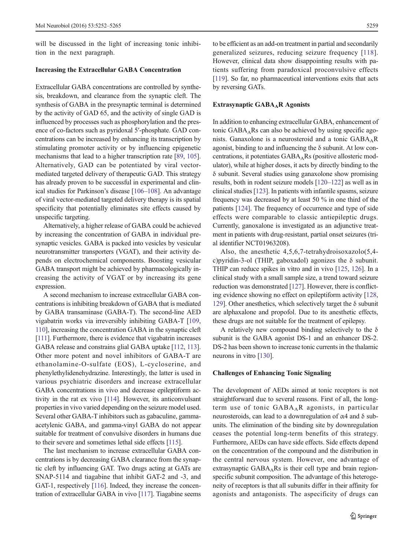will be discussed in the light of increasing tonic inhibition in the next paragraph.

#### Increasing the Extracellular GABA Concentration

Extracellular GABA concentrations are controlled by synthesis, breakdown, and clearance from the synaptic cleft. The synthesis of GABA in the presynaptic terminal is determined by the activity of GAD 65, and the activity of single GAD is influenced by processes such as phosphorylation and the presence of co-factors such as pyridoxal 5′-phosphate. GAD concentrations can be increased by enhancing its transcription by stimulating promoter activity or by influencing epigenetic mechanisms that lead to a higher transcription rate [[89,](#page-11-0) [105\]](#page-12-0). Alternatively, GAD can be potentiated by viral vectormediated targeted delivery of therapeutic GAD. This strategy has already proven to be successful in experimental and clinical studies for Parkinson's disease [[106](#page-12-0)–[108\]](#page-12-0). An advantage of viral vector-mediated targeted delivery therapy is its spatial specificity that potentially eliminates site effects caused by unspecific targeting.

Alternatively, a higher release of GABA could be achieved by increasing the concentration of GABA in individual presynaptic vesicles. GABA is packed into vesicles by vesicular neurotransmitter transporters (VGAT), and their activity depends on electrochemical components. Boosting vesicular GABA transport might be achieved by pharmacologically increasing the activity of VGAT or by increasing its gene expression.

A second mechanism to increase extracellular GABA concentrations is inhibiting breakdown of GABA that is mediated by GABA transaminase (GABA-T). The second-line AED vigabatrin works via irreversibly inhibiting GABA-T [[109,](#page-12-0) [110](#page-12-0)], increasing the concentration GABA in the synaptic cleft [\[111](#page-12-0)]. Furthermore, there is evidence that vigabatrin increases GABA release and constrains glial GABA uptake [[112](#page-12-0), [113\]](#page-12-0). Other more potent and novel inhibitors of GABA-T are ethanolamine-O-sulfate (EOS), L-cycloserine, and phenylethylidenehydrazine. Interestingly, the latter is used in various psychiatric disorders and increase extracellular GABA concentrations in vivo and decrease epileptiform activity in the rat ex vivo [[114](#page-12-0)]. However, its anticonvulsant properties in vivo varied depending on the seizure model used. Several other GABA-T inhibitors such as gabaculine, gammaacetylenic GABA, and gamma-vinyl GABA do not appear suitable for treatment of convulsive disorders in humans due to their severe and sometimes lethal side effects [[115\]](#page-12-0).

The last mechanism to increase extracellular GABA concentrations is by decreasing GABA clearance from the synaptic cleft by influencing GAT. Two drugs acting at GATs are SNAP-5114 and tiagabine that inhibit GAT-2 and -3, and GAT-1, respectively [\[116](#page-12-0)]. Indeed, they increase the concentration of extracellular GABA in vivo [\[117\]](#page-12-0). Tiagabine seems to be efficient as an add-on treatment in partial and secondarily generalized seizures, reducing seizure frequency [[118](#page-12-0)]. However, clinical data show disappointing results with patients suffering from paradoxical proconvulsive effects [\[119\]](#page-12-0). So far, no pharmaceutical interventions exits that acts by reversing GATs.

### Extrasynaptic  $GABA_AR$  Agonists

In addition to enhancing extracellular GABA, enhancement of tonic  $GABA<sub>A</sub>Rs$  can also be achieved by using specific agonists. Ganaxolone is a neurosteroid and a tonic GABA<sub>A</sub>R agonist, binding to and influencing the  $\delta$  subunit. At low concentrations, it potentiates GABAARs (positive allosteric modulator), while at higher doses, it acts by directly binding to the δ subunit. Several studies using ganaxolone show promising results, both in rodent seizure models [[120](#page-12-0)–[122\]](#page-12-0) as well as in clinical studies [\[123\]](#page-12-0). In patients with infantile spasms, seizure frequency was decreased by at least 50 % in one third of the patients [\[124\]](#page-12-0). The frequency of occurrence and type of side effects were comparable to classic antiepileptic drugs. Currently, ganoxalone is investigated as an adjunctive treatment in patients with drug-resistant, partial onset seizures (trial identifier NCT01963208).

Also, the anesthetic 4,5,6,7-tetrahydroisoxazolo(5,4 c)pyridin-3-ol (THIP, gaboxadol) agonizes the δ subunit. THIP can reduce spikes in vitro and in vivo [[125](#page-12-0), [126](#page-12-0)]. In a clinical study with a small sample size, a trend toward seizure reduction was demonstrated [[127](#page-12-0)]. However, there is conflicting evidence showing no effect on epileptiform activity [\[128,](#page-12-0) [129\]](#page-12-0). Other anesthetics, which selectively target the  $\delta$  subunit are alphaxalone and propofol. Due to its anesthetic effects, these drugs are not suitable for the treatment of epilepsy.

A relatively new compound binding selectively to the  $\delta$ subunit is the GABA agonist DS-1 and an enhancer DS-2. DS-2 has been shown to increase tonic currents in the thalamic neurons in vitro [[130](#page-12-0)].

#### Challenges of Enhancing Tonic Signaling

The development of AEDs aimed at tonic receptors is not straightforward due to several reasons. First of all, the longterm use of tonic  $GABA_AR$  agonists, in particular neurosteroids, can lead to a downregulation of  $\alpha$ 4 and δ subunits. The elimination of the binding site by downregulation ceases the potential long-term benefits of this strategy. Furthermore, AEDs can have side effects. Side effects depend on the concentration of the compound and the distribution in the central nervous system. However, one advantage of extrasynaptic  $GABA<sub>A</sub>Rs$  is their cell type and brain regionspecific subunit composition. The advantage of this heterogeneity of receptors is that all subunits differ in their affinity for agonists and antagonists. The aspecificity of drugs can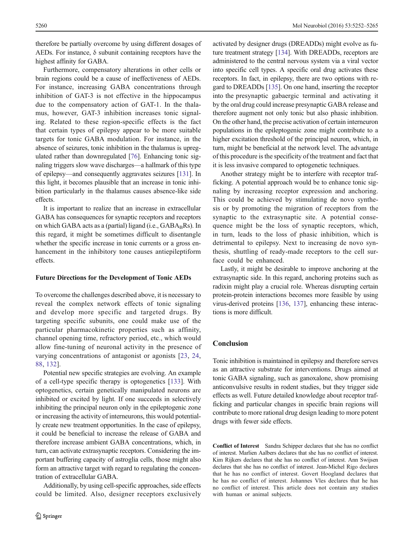therefore be partially overcome by using different dosages of AEDs. For instance, δ subunit containing receptors have the highest affinity for GABA.

Furthermore, compensatory alterations in other cells or brain regions could be a cause of ineffectiveness of AEDs. For instance, increasing GABA concentrations through inhibition of GAT-3 is not effective in the hippocampus due to the compensatory action of GAT-1. In the thalamus, however, GAT-3 inhibition increases tonic signaling. Related to these region-specific effects is the fact that certain types of epilepsy appear to be more suitable targets for tonic GABA modulation. For instance, in the absence of seizures, tonic inhibition in the thalamus is upregulated rather than downregulated [\[76\]](#page-11-0). Enhancing tonic signaling triggers slow wave discharges—a hallmark of this type of epilepsy—and consequently aggravates seizures [[131](#page-12-0)]. In this light, it becomes plausible that an increase in tonic inhibition particularly in the thalamus causes absence-like side effects.

It is important to realize that an increase in extracellular GABA has consequences for synaptic receptors and receptors on which GABA acts as a (partial) ligand (i.e.,  $\text{GABA}_R\text{Rs}$ ). In this regard, it might be sometimes difficult to disentangle whether the specific increase in tonic currents or a gross enhancement in the inhibitory tone causes antiepileptiform effects.

#### Future Directions for the Development of Tonic AEDs

To overcome the challenges described above, it is necessary to reveal the complex network effects of tonic signaling and develop more specific and targeted drugs. By targeting specific subunits, one could make use of the particular pharmacokinetic properties such as affinity, channel opening time, refractory period, etc., which would allow fine-tuning of neuronal activity in the presence of varying concentrations of antagonist or agonists [[23](#page-9-0), [24,](#page-9-0) [88](#page-11-0), [132\]](#page-13-0).

Potential new specific strategies are evolving. An example of a cell-type specific therapy is optogenetics [\[133](#page-13-0)]. With optogenetics, certain genetically manipulated neurons are inhibited or excited by light. If one succeeds in selectively inhibiting the principal neuron only in the epileptogenic zone or increasing the activity of interneurons, this would potentially create new treatment opportunities. In the case of epilepsy, it could be beneficial to increase the release of GABA and therefore increase ambient GABA concentrations, which, in turn, can activate extrasynaptic receptors. Considering the important buffering capacity of astroglia cells, those might also form an attractive target with regard to regulating the concentration of extracellular GABA.

Additionally, by using cell-specific approaches, side effects could be limited. Also, designer receptors exclusively

activated by designer drugs (DREADDs) might evolve as future treatment strategy [[134](#page-13-0)]. With DREADDs, receptors are administered to the central nervous system via a viral vector into specific cell types. A specific oral drug activates these receptors. In fact, in epilepsy, there are two options with regard to DREADDs [[135](#page-13-0)]. On one hand, inserting the receptor into the presynaptic gabaergic terminal and activating it by the oral drug could increase presynaptic GABA release and therefore augment not only tonic but also phasic inhibition. On the other hand, the precise activation of certain interneuron populations in the epileptogenic zone might contribute to a higher excitation threshold of the principal neuron, which, in turn, might be beneficial at the network level. The advantage of this procedure is the specificity of the treatment and fact that it is less invasive compared to optogenetic techniques.

Another strategy might be to interfere with receptor trafficking. A potential approach would be to enhance tonic signaling by increasing receptor expression and anchoring. This could be achieved by stimulating de novo synthesis or by promoting the migration of receptors from the synaptic to the extrasynaptic site. A potential consequence might be the loss of synaptic receptors, which, in turn, leads to the loss of phasic inhibition, which is detrimental to epilepsy. Next to increasing de novo synthesis, shuttling of ready-made receptors to the cell surface could be enhanced.

Lastly, it might be desirable to improve anchoring at the extrasynaptic side. In this regard, anchoring proteins such as radixin might play a crucial role. Whereas disrupting certain protein-protein interactions becomes more feasible by using virus-derived proteins [[136,](#page-13-0) [137\]](#page-13-0), enhancing these interactions is more difficult.

# **Conclusion**

Tonic inhibition is maintained in epilepsy and therefore serves as an attractive substrate for interventions. Drugs aimed at tonic GABA signaling, such as ganoxalone, show promising anticonvulsive results in rodent studies, but they trigger side effects as well. Future detailed knowledge about receptor trafficking and particular changes in specific brain regions will contribute to more rational drug design leading to more potent drugs with fewer side effects.

Conflict of Interest Sandra Schipper declares that she has no conflict of interest. Marlien Aalbers declares that she has no conflict of interest. Kim Rijkers declares that she has no conflict of interest. Ann Swijsen declares that she has no conflict of interest. Jean-Michel Rigo declares that he has no conflict of interest. Govert Hoogland declares that he has no conflict of interest. Johannes Vles declares that he has no conflict of interest. This article does not contain any studies with human or animal subjects.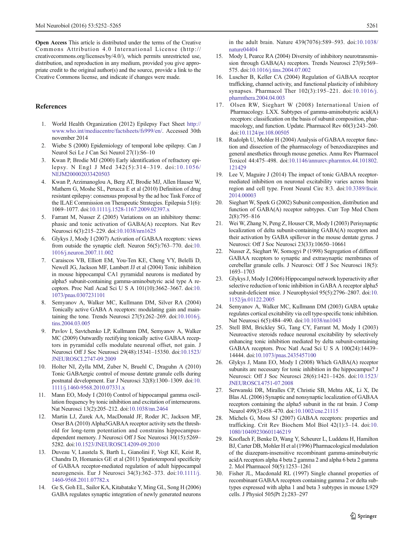<span id="page-9-0"></span>Open Access This article is distributed under the terms of the Creative Commons Attribution 4.0 International License (http:// creativecommons.org/licenses/by/4.0/), which permits unrestricted use, distribution, and reproduction in any medium, provided you give appropriate credit to the original author(s) and the source, provide a link to the Creative Commons license, and indicate if changes were made.

## **References**

- 1. World Health Organization (2012) Epilepsy Fact Sheet [http://](http://www.who.int/mediacentre/factsheets/fs999/en/) [www.who.int/mediacentre/factsheets/fs999/en/](http://www.who.int/mediacentre/factsheets/fs999/en/). Accessed 30th november 2014
- 2. Wiebe S (2000) Epidemiology of temporal lobe epilepsy. Can J Neurol Sci Le J Can Sci Neurol 27(1):S6–10
- 3. Kwan P, Brodie MJ (2000) Early identification of refractory epilepsy. N Engl J Med 342(5):314–319. doi:[10.1056/](http://dx.doi.org/10.1056/NEJM200002033420503) [NEJM200002033420503](http://dx.doi.org/10.1056/NEJM200002033420503)
- 4. Kwan P, Arzimanoglou A, Berg AT, Brodie MJ, Allen Hauser W, Mathern G, Moshe SL, Perucca E et al (2010) Definition of drug resistant epilepsy: consensus proposal by the ad hoc Task Force of the ILAE Commission on Therapeutic Strategies. Epilepsia 51(6): 1069–1077. doi:[10.1111/j.1528-1167.2009.02397.x](http://dx.doi.org/10.1111/j.1528-1167.2009.02397.x)
- 5. Farrant M, Nusser Z (2005) Variations on an inhibitory theme: phasic and tonic activation of GABA(A) receptors. Nat Rev Neurosci 6(3):215–229. doi[:10.1038/nrn1625](http://dx.doi.org/10.1038/nrn1625)
- 6. Glykys J, Mody I (2007) Activation of GABAA receptors: views from outside the synaptic cleft. Neuron 56(5):763–770. doi:[10.](http://dx.doi.org/10.1016/j.neuron.2007.11.002) [1016/j.neuron.2007.11.002](http://dx.doi.org/10.1016/j.neuron.2007.11.002)
- 7. Caraiscos VB, Elliott EM, You-Ten KE, Cheng VY, Belelli D, Newell JG, Jackson MF, Lambert JJ et al (2004) Tonic inhibition in mouse hippocampal CA1 pyramidal neurons is mediated by alpha5 subunit-containing gamma-aminobutyric acid type A receptors. Proc Natl Acad Sci U S A 101(10):3662–3667. doi:[10.](http://dx.doi.org/10.1073/pnas.0307231101) [1073/pnas.0307231101](http://dx.doi.org/10.1073/pnas.0307231101)
- 8. Semyanov A, Walker MC, Kullmann DM, Silver RA (2004) Tonically active GABA A receptors: modulating gain and maintaining the tone. Trends Neurosci 27(5):262–269. doi:[10.1016/j.](http://dx.doi.org/10.1016/j.tins.2004.03.005) [tins.2004.03.005](http://dx.doi.org/10.1016/j.tins.2004.03.005)
- 9. Pavlov I, Savtchenko LP, Kullmann DM, Semyanov A, Walker MC (2009) Outwardly rectifying tonically active GABAA receptors in pyramidal cells modulate neuronal offset, not gain. J Neurosci Off J Soc Neurosci 29(48):15341–15350. doi[:10.1523/](http://dx.doi.org/10.1523/JNEUROSCI.2747-09.2009) [JNEUROSCI.2747-09.2009](http://dx.doi.org/10.1523/JNEUROSCI.2747-09.2009)
- 10. Holter NI, Zylla MM, Zuber N, Bruehl C, Draguhn A (2010) Tonic GABAergic control of mouse dentate granule cells during postnatal development. Eur J Neurosci 32(8):1300–1309. doi:[10.](http://dx.doi.org/10.1111/j.1460-9568.2010.07331.x) [1111/j.1460-9568.2010.07331.x](http://dx.doi.org/10.1111/j.1460-9568.2010.07331.x)
- 11. Mann EO, Mody I (2010) Control of hippocampal gamma oscillation frequency by tonic inhibition and excitation of interneurons. Nat Neurosci 13(2):205–212. doi:[10.1038/nn.2464](http://dx.doi.org/10.1038/nn.2464)
- 12. Martin LJ, Zurek AA, MacDonald JF, Roder JC, Jackson MF, Orser BA (2010) Alpha5GABAA receptor activity sets the threshold for long-term potentiation and constrains hippocampusdependent memory. J Neurosci Off J Soc Neurosci 30(15):5269– 5282. doi[:10.1523/JNEUROSCI.4209-09.2010](http://dx.doi.org/10.1523/JNEUROSCI.4209-09.2010)
- 13. Duveau V, Laustela S, Barth L, Gianolini F, Vogt KE, Keist R, Chandra D, Homanics GE et al (2011) Spatiotemporal specificity of GABAA receptor-mediated regulation of adult hippocampal neurogenesis. Eur J Neurosci 34(3):362–373. doi[:10.1111/j.](http://dx.doi.org/10.1111/j.1460-9568.2011.07782.x) [1460-9568.2011.07782.x](http://dx.doi.org/10.1111/j.1460-9568.2011.07782.x)
- 14. Ge S, Goh EL, Sailor KA, Kitabatake Y, Ming GL, Song H (2006) GABA regulates synaptic integration of newly generated neurons

in the adult brain. Nature 439(7076):589–593. doi[:10.1038/](http://dx.doi.org/10.1038/nature04404) [nature04404](http://dx.doi.org/10.1038/nature04404)

- 15. Mody I, Pearce RA (2004) Diversity of inhibitory neurotransmission through GABA(A) receptors. Trends Neurosci 27(9):569– 575. doi[:10.1016/j.tins.2004.07.002](http://dx.doi.org/10.1016/j.tins.2004.07.002)
- 16. Luscher B, Keller CA (2004) Regulation of GABAA receptor trafficking, channel activity, and functional plasticity of inhibitory synapses. Pharmacol Ther 102(3):195–221. doi:[10.1016/j.](http://dx.doi.org/10.1016/j.pharmthera.2004.04.003) [pharmthera.2004.04.003](http://dx.doi.org/10.1016/j.pharmthera.2004.04.003)
- 17. Olsen RW, Sieghart W (2008) International Union of Pharmacology. LXX. Subtypes of gamma-aminobutyric acid(A) receptors: classification on the basis of subunit composition, pharmacology, and function. Update. Pharmacol Rev 60(3):243–260. doi[:10.1124/pr.108.00505](http://dx.doi.org/10.1124/pr.108.00505)
- 18. Rudolph U, Mohler H (2004) Analysis of GABAA receptor function and dissection of the pharmacology of benzodiazepines and general anesthetics through mouse genetics. Annu Rev Pharmacol Toxicol 44:475–498. doi:[10.1146/annurev.pharmtox.44.101802.](http://dx.doi.org/10.1146/annurev.pharmtox.44.101802.121429) [121429](http://dx.doi.org/10.1146/annurev.pharmtox.44.101802.121429)
- 19. Lee V, Maguire J (2014) The impact of tonic GABAA receptormediated inhibition on neuronal excitability varies across brain region and cell type. Front Neural Circ 8:3. doi[:10.3389/fncir.](http://dx.doi.org/10.3389/fncir.2014.00003) [2014.00003](http://dx.doi.org/10.3389/fncir.2014.00003)
- 20. Sieghart W, Sperk G (2002) Subunit composition, distribution and function of GABA(A) receptor subtypes. Curr Top Med Chem 2(8):795–816
- 21. Wei W, Zhang N, Peng Z, Houser CR, Mody I (2003) Perisynaptic localization of delta subunit-containing GABA(A) receptors and their activation by GABA spillover in the mouse dentate gyrus. J Neurosci: Off J Soc Neurosci 23(33):10650–10661
- 22. Nusser Z, Sieghart W, Somogyi P (1998) Segregation of different GABAA receptors to synaptic and extrasynaptic membranes of cerebellar granule cells. J Neurosci: Off J Soc Neurosci 18(5): 1693–1703
- 23. Glykys J, Mody I (2006) Hippocampal network hyperactivity after selective reduction of tonic inhibition in GABA A receptor alpha5 subunit-deficient mice. J Neurophysiol 95(5):2796–2807. doi:[10.](http://dx.doi.org/10.1152/jn.01122.2005) [1152/jn.01122.2005](http://dx.doi.org/10.1152/jn.01122.2005)
- 24. Semyanov A, Walker MC, Kullmann DM (2003) GABA uptake regulates cortical excitability via cell type-specific tonic inhibition. Nat Neurosci 6(5):484–490. doi[:10.1038/nn1043](http://dx.doi.org/10.1038/nn1043)
- 25. Stell BM, Brickley SG, Tang CY, Farrant M, Mody I (2003) Neuroactive steroids reduce neuronal excitability by selectively enhancing tonic inhibition mediated by delta subunit-containing GABAA receptors. Proc Natl Acad Sci U S A 100(24):14439– 14444. doi[:10.1073/pnas.2435457100](http://dx.doi.org/10.1073/pnas.2435457100)
- 26. Glykys J, Mann EO, Mody I (2008) Which GABA(A) receptor subunits are necessary for tonic inhibition in the hippocampus? J Neurosci: Off J Soc Neurosci 28(6):1421–1426. doi[:10.1523/](http://dx.doi.org/10.1523/JNEUROSCI.4751-07.2008) [JNEUROSCI.4751-07.2008](http://dx.doi.org/10.1523/JNEUROSCI.4751-07.2008)
- 27. Serwanski DR, Miralles CP, Christie SB, Mehta AK, Li X, De Blas AL (2006) Synaptic and nonsynaptic localization of GABAA receptors containing the alpha5 subunit in the rat brain. J Comp Neurol 499(3):458–470. doi[:10.1002/cne.21115](http://dx.doi.org/10.1002/cne.21115)
- 28. Michels G, Moss SJ (2007) GABAA receptors: properties and trafficking. Crit Rev Biochem Mol Biol 42(1):3–14. doi[:10.](http://dx.doi.org/10.1080/10409230601146219) [1080/10409230601146219](http://dx.doi.org/10.1080/10409230601146219)
- 29. Knoflach F, Benke D, Wang Y, Scheurer L, Luddens H, Hamilton BJ, Carter DB, Mohler H et al (1996) Pharmacological modulation of the diazepam-insensitive recombinant gamma-aminobutyric acidA receptors alpha 4 beta 2 gamma 2 and alpha 6 beta 2 gamma 2. Mol Pharmacol 50(5):1253–1261
- 30. Fisher JL, Macdonald RL (1997) Single channel properties of recombinant GABAA receptors containing gamma 2 or delta subtypes expressed with alpha 1 and beta 3 subtypes in mouse L929 cells. J Physiol 505(Pt 2):283–297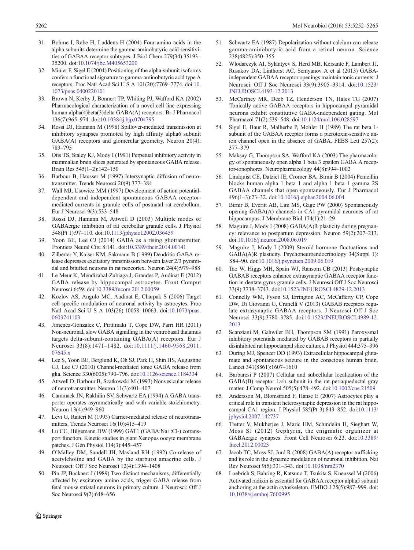- <span id="page-10-0"></span>31. Bohme I, Rabe H, Luddens H (2004) Four amino acids in the alpha subunits determine the gamma-aminobutyric acid sensitivities of GABAA receptor subtypes. J Biol Chem 279(34):35193– 35200. doi[:10.1074/jbc.M405653200](http://dx.doi.org/10.1074/jbc.M405653200)
- 32. Minier F, Sigel E (2004) Positioning of the alpha-subunit isoforms confers a functional signature to gamma-aminobutyric acid type A receptors. Proc Natl Acad Sci U S A 101(20):7769–7774. doi:[10.](http://dx.doi.org/10.1073/pnas.0400220101) [1073/pnas.0400220101](http://dx.doi.org/10.1073/pnas.0400220101)
- 33. Brown N, Kerby J, Bonnert TP, Whiting PJ, Wafford KA (2002) Pharmacological characterization of a novel cell line expressing human alpha(4)beta(3)delta GABA(A) receptors. Br J Pharmacol 136(7):965–974. doi[:10.1038/sj.bjp.0704795](http://dx.doi.org/10.1038/sj.bjp.0704795)
- 34. Rossi DJ, Hamann M (1998) Spillover-mediated transmission at inhibitory synapses promoted by high affinity alpha6 subunit GABA(A) receptors and glomerular geometry. Neuron 20(4): 783–795
- 35. Otis TS, Staley KJ, Mody I (1991) Perpetual inhibitory activity in mammalian brain slices generated by spontaneous GABA release. Brain Res 545(1–2):142–150
- 36. Barbour B, Hausser M (1997) Intersynaptic diffusion of neurotransmitter. Trends Neurosci 20(9):377–384
- 37. Wall MJ, Usowicz MM (1997) Development of action potentialdependent and independent spontaneous GABAA receptormediated currents in granule cells of postnatal rat cerebellum. Eur J Neurosci 9(3):533–548
- 38. Rossi DJ, Hamann M, Attwell D (2003) Multiple modes of GABAergic inhibition of rat cerebellar granule cells. J Physiol 548(Pt 1):97–110. doi:[10.1113/jphysiol.2002.036459](http://dx.doi.org/10.1113/jphysiol.2002.036459)
- 39. Yoon BE, Lee CJ (2014) GABA as a rising gliotransmitter. Frontiers Neural Circ 8:141. doi[:10.3389/fncir.2014.00141](http://dx.doi.org/10.3389/fncir.2014.00141)
- 40. Zilberter Y, Kaiser KM, Sakmann B (1999) Dendritic GABA release depresses excitatory transmission between layer 2/3 pyramidal and bitufted neurons in rat neocortex. Neuron 24(4):979–988
- 41. Le Meur K, Mendizabal-Zubiaga J, Grandes P, Audinat E (2012) GABA release by hippocampal astrocytes. Front Comput Neurosci 6:59. doi:[10.3389/fncom.2012.00059](http://dx.doi.org/10.3389/fncom.2012.00059)
- 42. Kozlov AS, Angulo MC, Audinat E, Charpak S (2006) Target cell-specific modulation of neuronal activity by astrocytes. Proc Natl Acad Sci U S A 103(26):10058–10063. doi[:10.1073/pnas.](http://dx.doi.org/10.1073/pnas.0603741103) [0603741103](http://dx.doi.org/10.1073/pnas.0603741103)
- 43. Jimenez-Gonzalez C, Pirttimaki T, Cope DW, Parri HR (2011) Non-neuronal, slow GABA signalling in the ventrobasal thalamus targets delta-subunit-containing GABA(A) receptors. Eur J Neurosci 33(8):1471–1482. doi[:10.1111/j.1460-9568.2011.](http://dx.doi.org/10.1111/j.1460-9568.2011.07645.x) [07645.x](http://dx.doi.org/10.1111/j.1460-9568.2011.07645.x)
- 44. Lee S, Yoon BE, Berglund K, Oh SJ, Park H, Shin HS, Augustine GJ, Lee CJ (2010) Channel-mediated tonic GABA release from glia. Science 330(6005):790–796. doi:[10.1126/science.1184334](http://dx.doi.org/10.1126/science.1184334)
- 45. Attwell D, Barbour B, Szatkowski M (1993) Nonvesicular release of neurotransmitter. Neuron 11(3):401–407
- 46. Cammack JN, Rakhilin SV, Schwartz EA (1994) A GABA transporter operates asymmetrically and with variable stoichiometry. Neuron 13(4):949–960
- 47. Levi G, Raiteri M (1993) Carrier-mediated release of neurotransmitters. Trends Neurosci 16(10):415–419
- 48. Lu CC, Hilgemann DW (1999) GAT1 (GABA:Na+:Cl-) cotransport function. Kinetic studies in giant Xenopus oocyte membrane patches. J Gen Physiol 114(3):445–457
- 49. O'Malley DM, Sandell JH, Masland RH (1992) Co-release of acetylcholine and GABA by the starburst amacrine cells. J Neurosci: Off J Soc Neurosci 12(4):1394–1408
- 50. Pin JP, Bockaert J (1989) Two distinct mechanisms, differentially affected by excitatory amino acids, trigger GABA release from fetal mouse striatal neurons in primary culture. J Neurosci: Off J Soc Neurosci 9(2):648–656
- 51. Schwartz EA (1987) Depolarization without calcium can release gamma-aminobutyric acid from a retinal neuron. Science 238(4825):350–355
- 52. Wlodarczyk AI, Sylantyev S, Herd MB, Kersante F, Lambert JJ, Rusakov DA, Linthorst AC, Semyanov A et al (2013) GABAindependent GABAA receptor openings maintain tonic currents. J Neurosci: Off J Soc Neurosci 33(9):3905–3914. doi[:10.1523/](http://dx.doi.org/10.1523/JNEUROSCI.4193-12.2013) [JNEUROSCI.4193-12.2013](http://dx.doi.org/10.1523/JNEUROSCI.4193-12.2013)
- 53. McCartney MR, Deeb TZ, Henderson TN, Hales TG (2007) Tonically active GABAA receptors in hippocampal pyramidal neurons exhibit constitutive GABA-independent gating. Mol Pharmacol 71(2):539–548. doi[:10.1124/mol.106.028597](http://dx.doi.org/10.1124/mol.106.028597)
- 54. Sigel E, Baur R, Malherbe P, Mohler H (1989) The rat beta 1 subunit of the GABAA receptor forms a picrotoxin-sensitive anion channel open in the absence of GABA. FEBS Lett 257(2): 377–379
- 55. Maksay G, Thompson SA, Wafford KA (2003) The pharmacology of spontaneously open alpha 1 beta 3 epsilon GABA A receptor-ionophores. Neuropharmacology 44(8):994–1002
- 56. Lindquist CE, Dalziel JE, Cromer BA, Birnir B (2004) Penicillin blocks human alpha 1 beta 1 and alpha 1 beta 1 gamma 2S GABAA channels that open spontaneously. Eur J Pharmacol 496(1–3):23–32. doi[:10.1016/j.ejphar.2004.06.004](http://dx.doi.org/10.1016/j.ejphar.2004.06.004)
- 57. Birnir B, Everitt AB, Lim MS, Gage PW (2000) Spontaneously opening GABA(A) channels in CA1 pyramidal neurones of rat hippocampus. J Membrane Biol 174(1):21–29
- 58. Maguire J, Mody I (2008) GABA(A)R plasticity during pregnancy: relevance to postpartum depression. Neuron 59(2):207–213. doi[:10.1016/j.neuron.2008.06.019](http://dx.doi.org/10.1016/j.neuron.2008.06.019)
- Maguire J, Mody I (2009) Steroid hormone fluctuations and GABA(A)R plasticity. Psychoneuroendocrinology 34(Suppl 1): S84–90. doi[:10.1016/j.psyneuen.2009.06.019](http://dx.doi.org/10.1016/j.psyneuen.2009.06.019)
- 60. Tao W, Higgs MH, Spain WJ, Ransom CB (2013) Postsynaptic GABAB receptors enhance extrasynaptic GABAA receptor function in dentate gyrus granule cells. J Neurosci Off J Soc Neurosci 33(9):3738–3743. doi:[10.1523/JNEUROSCI.4829-12.2013](http://dx.doi.org/10.1523/JNEUROSCI.4829-12.2013)
- 61. Connelly WM, Fyson SJ, Errington AC, McCafferty CP, Cope DW, Di Giovanni G, Crunelli V (2013) GABAB receptors regulate extrasynaptic GABAA receptors. J Neurosci Off J Soc Neurosci 33(9):3780–3785. doi[:10.1523/JNEUROSCI.4989-12.](http://dx.doi.org/10.1523/JNEUROSCI.4989-12.2013) [2013](http://dx.doi.org/10.1523/JNEUROSCI.4989-12.2013)
- 62. Scanziani M, Gahwiler BH, Thompson SM (1991) Paroxysmal inhibitory potentials mediated by GABAB receptors in partially disinhibited rat hippocampal slice cultures. J Physiol 444:375–396
- 63. During MJ, Spencer DD (1993) Extracellular hippocampal glutamate and spontaneous seizure in the conscious human brain. Lancet 341(8861):1607–1610
- 64. Barbaresi P (2007) Cellular and subcellular localization of the GABA(B) receptor 1a/b subunit in the rat periaqueductal gray matter. J Comp Neurol 505(5):478–492. doi[:10.1002/cne.21509](http://dx.doi.org/10.1002/cne.21509)
- 65. Andersson M, Blomstrand F, Hanse E (2007) Astrocytes play a critical role in transient heterosynaptic depression in the rat hippocampal CA1 region. J Physiol 585(Pt 3):843–852. doi:[10.1113/](http://dx.doi.org/10.1113/jphysiol.2007.142737) [jphysiol.2007.142737](http://dx.doi.org/10.1113/jphysiol.2007.142737)
- 66. Tretter V, Mukherjee J, Maric HM, Schindelin H, Sieghart W, Moss SJ (2012) Gephyrin, the enigmatic organizer at GABAergic synapses. Front Cell Neurosci 6:23. doi[:10.3389/](http://dx.doi.org/10.3389/fncel.2012.00023) [fncel.2012.00023](http://dx.doi.org/10.3389/fncel.2012.00023)
- 67. Jacob TC, Moss SJ, Jurd R (2008) GABA(A) receptor trafficking and its role in the dynamic modulation of neuronal inhibition. Nat Rev Neurosci 9(5):331–343. doi[:10.1038/nrn2370](http://dx.doi.org/10.1038/nrn2370)
- 68. Loebrich S, Bahring R, Katsuno T, Tsukita S, Kneussel M (2006) Activated radixin is essential for GABAA receptor alpha5 subunit anchoring at the actin cytoskeleton. EMBO J 25(5):987–999. doi: [10.1038/sj.emboj.7600995](http://dx.doi.org/10.1038/sj.emboj.7600995)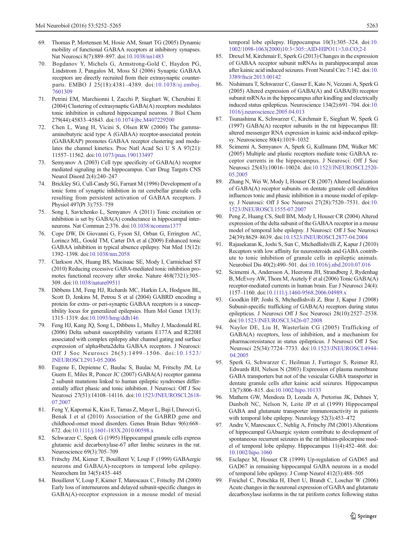- <span id="page-11-0"></span>69. Thomas P, Mortensen M, Hosie AM, Smart TG (2005) Dynamic mobility of functional GABAA receptors at inhibitory synapses. Nat Neurosci 8(7):889–897. doi[:10.1038/nn1483](http://dx.doi.org/10.1038/nn1483)
- 70. Bogdanov Y, Michels G, Armstrong-Gold C, Haydon PG, Lindstrom J, Pangalos M, Moss SJ (2006) Synaptic GABAA receptors are directly recruited from their extrasynaptic counterparts. EMBO J 25(18):4381–4389. doi[:10.1038/sj.emboj.](http://dx.doi.org/10.1038/sj.emboj.7601309) [7601309](http://dx.doi.org/10.1038/sj.emboj.7601309)
- 71. Petrini EM, Marchionni I, Zacchi P, Sieghart W, Cherubini E (2004) Clustering of extrasynaptic GABA(A) receptors modulates tonic inhibition in cultured hippocampal neurons. J Biol Chem 279(44):45833–45843. doi[:10.1074/jbc.M407229200](http://dx.doi.org/10.1074/jbc.M407229200)
- 72. Chen L, Wang H, Vicini S, Olsen RW (2000) The gammaaminobutyric acid type A (GABAA) receptor-associated protein (GABARAP) promotes GABAA receptor clustering and modulates the channel kinetics. Proc Natl Acad Sci U S A 97(21): 11557–11562. doi[:10.1073/pnas.190133497](http://dx.doi.org/10.1073/pnas.190133497)
- 73. Semyanov A (2003) Cell type specificity of GABA(A) receptor mediated signaling in the hippocampus. Curr Drug Targets CNS Neurol Disord 2(4):240–247
- 74. Brickley SG, Cull-Candy SG, Farrant M (1996) Development of a tonic form of synaptic inhibition in rat cerebellar granule cells resulting from persistent activation of GABAA receptors. J Physiol 497(Pt 3):753–759
- 75. Song I, Savtchenko L, Semyanov A (2011) Tonic excitation or inhibition is set by GABA(A) conductance in hippocampal interneurons. Nat Commun 2:376. doi[:10.1038/ncomms1377](http://dx.doi.org/10.1038/ncomms1377)
- 76. Cope DW, Di Giovanni G, Fyson SJ, Orban G, Errington AC, Lorincz ML, Gould TM, Carter DA et al (2009) Enhanced tonic GABAA inhibition in typical absence epilepsy. Nat Med 15(12): 1392–1398. doi:[10.1038/nm.2058](http://dx.doi.org/10.1038/nm.2058)
- 77. Clarkson AN, Huang BS, Macisaac SE, Mody I, Carmichael ST (2010) Reducing excessive GABA-mediated tonic inhibition promotes functional recovery after stroke. Nature 468(7321):305– 309. doi:[10.1038/nature09511](http://dx.doi.org/10.1038/nature09511)
- 78. Dibbens LM, Feng HJ, Richards MC, Harkin LA, Hodgson BL, Scott D, Jenkins M, Petrou S et al (2004) GABRD encoding a protein for extra- or peri-synaptic GABAA receptors is a susceptibility locus for generalized epilepsies. Hum Mol Genet 13(13): 1315–1319. doi:[10.1093/hmg/ddh146](http://dx.doi.org/10.1093/hmg/ddh146)
- 79. Feng HJ, Kang JQ, Song L, Dibbens L, Mulley J, Macdonald RL (2006) Delta subunit susceptibility variants E177A and R220H associated with complex epilepsy alter channel gating and surface expression of alpha4beta2delta GABAA receptors. J Neurosci: Off J Soc Neurosci 26(5):1499–1506. doi:[10.1523/](http://dx.doi.org/10.1523/JNEUROSCI.2913-05.2006) [JNEUROSCI.2913-05.2006](http://dx.doi.org/10.1523/JNEUROSCI.2913-05.2006)
- 80. Eugene E, Depienne C, Baulac S, Baulac M, Fritschy JM, Le Guern E, Miles R, Poncer JC (2007) GABA(A) receptor gamma 2 subunit mutations linked to human epileptic syndromes differentially affect phasic and tonic inhibition. J Neurosci: Off J Soc Neurosci 27(51):14108–14116. doi[:10.1523/JNEUROSCI.2618-](http://dx.doi.org/10.1523/JNEUROSCI.2618-07.2007) [07.2007](http://dx.doi.org/10.1523/JNEUROSCI.2618-07.2007)
- 81. Feng Y, Kapornai K, Kiss E, Tamas Z, Mayer L, Baji I, Daroczi G, Benak I et al (2010) Association of the GABRD gene and childhood-onset mood disorders. Genes Brain Behav 9(6):668– 672. doi:[10.1111/j.1601-183X.2010.00598.x](http://dx.doi.org/10.1111/j.1601-183X.2010.00598.x)
- Schwarzer C, Sperk G (1995) Hippocampal granule cells express glutamic acid decarboxylase-67 after limbic seizures in the rat. Neuroscience 69(3):705–709
- 83. Fritschy JM, Kiener T, Bouilleret V, Loup F (1999) GABAergic neurons and GABA(A)-receptors in temporal lobe epilepsy. Neurochem Int 34(5):435–445
- 84. Bouilleret V, Loup F, Kiener T, Marescaux C, Fritschy JM (2000) Early loss of interneurons and delayed subunit-specific changes in GABA(A)-receptor expression in a mouse model of mesial

temporal lobe epilepsy. Hippocampus 10(3):305–324. doi:[10.](http://dx.doi.org/10.1002/1098-1063(2000)10:3%3C305::AID-HIPO11%3E3.0.CO;2-I) [1002/1098-1063\(2000\)10:3<305::AID-HIPO11>3.0.CO;2-I](http://dx.doi.org/10.1002/1098-1063(2000)10:3%3C305::AID-HIPO11%3E3.0.CO;2-I)

- 85. Drexel M, Kirchmair E, Sperk G (2013) Changes in the expression of GABAA receptor subunit mRNAs in parahippocampal areas after kainic acid induced seizures. Front Neural Circ 7:142. doi[:10.](http://dx.doi.org/10.3389/fncir.2013.00142) [3389/fncir.2013.00142](http://dx.doi.org/10.3389/fncir.2013.00142)
- 86. Nishimura T, Schwarzer C, Gasser E, Kato N, Vezzani A, Sperk G (2005) Altered expression of GABA(A) and GABA(B) receptor subunit mRNAs in the hippocampus after kindling and electrically induced status epilepticus. Neuroscience 134(2):691–704. doi[:10.](http://dx.doi.org/10.1016/j.neuroscience.2005.04.013) [1016/j.neuroscience.2005.04.013](http://dx.doi.org/10.1016/j.neuroscience.2005.04.013)
- 87. Tsunashima K, Schwarzer C, Kirchmair E, Sieghart W, Sperk G (1997) GABA(A) receptor subunits in the rat hippocampus III: altered messenger RNA expression in kainic acid-induced epilepsy. Neuroscience 80(4):1019–1032
- 88. Scimemi A, Semyanov A, Sperk G, Kullmann DM, Walker MC (2005) Multiple and plastic receptors mediate tonic GABAA receptor currents in the hippocampus. J Neurosci: Off J Soc Neurosci 25(43):10016–10024. doi[:10.1523/JNEUROSCI.2520-](http://dx.doi.org/10.1523/JNEUROSCI.2520-05.2005) [05.2005](http://dx.doi.org/10.1523/JNEUROSCI.2520-05.2005)
- 89. Zhang N, Wei W, Mody I, Houser CR (2007) Altered localization of GABA(A) receptor subunits on dentate granule cell dendrites influences tonic and phasic inhibition in a mouse model of epilepsy. J Neurosci: Off J Soc Neurosci 27(28):7520–7531. doi:[10.](http://dx.doi.org/10.1523/JNEUROSCI.1555-07.2007) [1523/JNEUROSCI.1555-07.2007](http://dx.doi.org/10.1523/JNEUROSCI.1555-07.2007)
- 90. Peng Z, Huang CS, Stell BM, Mody I, Houser CR (2004) Altered expression of the delta subunit of the GABAA receptor in a mouse model of temporal lobe epilepsy. J Neurosci: Off J Soc Neurosci 24(39):8629–8639. doi:[10.1523/JNEUROSCI.2877-04.2004](http://dx.doi.org/10.1523/JNEUROSCI.2877-04.2004)
- 91. Rajasekaran K, Joshi S, Sun C, Mtchedlishvilli Z, Kapur J (2010) Receptors with low affinity for neurosteroids and GABA contribute to tonic inhibition of granule cells in epileptic animals. Neurobiol Dis 40(2):490–501. doi[:10.1016/j.nbd.2010.07.016](http://dx.doi.org/10.1016/j.nbd.2010.07.016)
- 92. Scimemi A, Andersson A, Heeroma JH, Strandberg J, Rydenhag B, McEvoy AW, Thom M, Asztely F et al (2006) Tonic GABA(A) receptor-mediated currents in human brain. Eur J Neurosci 24(4): 1157–1160. doi[:10.1111/j.1460-9568.2006.04989.x](http://dx.doi.org/10.1111/j.1460-9568.2006.04989.x)
- 93. Goodkin HP, Joshi S, Mtchedlishvili Z, Brar J, Kapur J (2008) Subunit-specific trafficking of GABA(A) receptors during status epilepticus. J Neurosci Off J Soc Neurosci 28(10):2527–2538. doi[:10.1523/JNEUROSCI.3426-07.2008](http://dx.doi.org/10.1523/JNEUROSCI.3426-07.2008)
- 94. Naylor DE, Liu H, Wasterlain CG (2005) Trafficking of GABA(A) receptors, loss of inhibition, and a mechanism for pharmacoresistance in status epilepticus. J Neurosci Off J Soc Neurosci 25(34):7724–7733. doi:[10.1523/JNEUROSCI.4944-](http://dx.doi.org/10.1523/JNEUROSCI.4944-04.2005) [04.2005](http://dx.doi.org/10.1523/JNEUROSCI.4944-04.2005)
- 95. Sperk G, Schwarzer C, Heilman J, Furtinger S, Reimer RJ, Edwards RH, Nelson N (2003) Expression of plasma membrane GABA transporters but not of the vesicular GABA transporter in dentate granule cells after kainic acid seizures. Hippocampus 13(7):806–815. doi[:10.1002/hipo.10133](http://dx.doi.org/10.1002/hipo.10133)
- 96. Mathern GW, Mendoza D, Lozada A, Pretorius JK, Dehnes Y, Danbolt NC, Nelson N, Leite JP et al (1999) Hippocampal GABA and glutamate transporter immunoreactivity in patients with temporal lobe epilepsy. Neurology 52(3):453–472
- 97. Andre V, Marescaux C, Nehlig A, Fritschy JM (2001) Alterations of hippocampal GAbaergic system contribute to development of spontaneous recurrent seizures in the rat lithium-pilocarpine model of temporal lobe epilepsy. Hippocampus 11(4):452–468. doi: [10.1002/hipo.1060](http://dx.doi.org/10.1002/hipo.1060)
- 98. Esclapez M, Houser CR (1999) Up-regulation of GAD65 and GAD67 in remaining hippocampal GABA neurons in a model of temporal lobe epilepsy. J Comp Neurol 412(3):488–505
- 99. Freichel C, Potschka H, Ebert U, Brandt C, Loscher W (2006) Acute changes in the neuronal expression of GABA and glutamate decarboxylase isoforms in the rat piriform cortex following status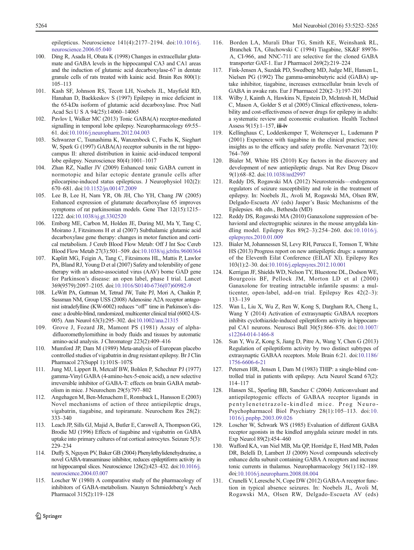epilepticus. Neuroscience 141(4):2177–2194. doi[:10.1016/j.](http://dx.doi.org/10.1016/j.neuroscience.2006.05.040) [neuroscience.2006.05.040](http://dx.doi.org/10.1016/j.neuroscience.2006.05.040)

- <span id="page-12-0"></span>100. Ding R, Asada H, Obata K (1998) Changes in extracellular glutamate and GABA levels in the hippocampal CA3 and CA1 areas and the induction of glutamic acid decarboxylase-67 in dentate granule cells of rats treated with kainic acid. Brain Res 800(1): 105–113
- 101. Kash SF, Johnson RS, Tecott LH, Noebels JL, Mayfield RD, Hanahan D, Baekkeskov S (1997) Epilepsy in mice deficient in the 65-kDa isoform of glutamic acid decarboxylase. Proc Natl Acad Sci U S A 94(25):14060–14065
- 102. Pavlov I, Walker MC (2013) Tonic GABA(A) receptor-mediated signalling in temporal lobe epilepsy. Neuropharmacology 69:55– 61. doi[:10.1016/j.neuropharm.2012.04.003](http://dx.doi.org/10.1016/j.neuropharm.2012.04.003)
- 103. Schwarzer C, Tsunashima K, Wanzenbock C, Fuchs K, Sieghart W, Sperk G (1997) GABA(A) receptor subunits in the rat hippocampus II: altered distribution in kainic acid-induced temporal lobe epilepsy. Neuroscience 80(4):1001–1017
- 104. Zhan RZ, Nadler JV (2009) Enhanced tonic GABA current in normotopic and hilar ectopic dentate granule cells after pilocarpine-induced status epilepticus. J Neurophysiol 102(2): 670–681. doi[:10.1152/jn.00147.2009](http://dx.doi.org/10.1152/jn.00147.2009)
- 105. Lee B, Lee H, Nam YR, Oh JH, Cho YH, Chang JW (2005) Enhanced expression of glutamate decarboxylase 65 improves symptoms of rat parkinsonian models. Gene Ther 12(15):1215– 1222. doi[:10.1038/sj.gt.3302520](http://dx.doi.org/10.1038/sj.gt.3302520)
- 106. Emborg ME, Carbon M, Holden JE, During MJ, Ma Y, Tang C, Moirano J, Fitzsimons H et al (2007) Subthalamic glutamic acid decarboxylase gene therapy: changes in motor function and cortical metabolism. J Cereb Blood Flow Metab: Off J Int Soc Cereb Blood Flow Metab 27(3):501–509. doi:[10.1038/sj.jcbfm.9600364](http://dx.doi.org/10.1038/sj.jcbfm.9600364)
- 107. Kaplitt MG, Feigin A, Tang C, Fitzsimons HL, Mattis P, Lawlor PA, Bland RJ, Young D et al (2007) Safety and tolerability of gene therapy with an adeno-associated virus (AAV) borne GAD gene for Parkinson's disease: an open label, phase I trial. Lancet 369(9579):2097–2105. doi:[10.1016/S0140-6736\(07\)60982-9](http://dx.doi.org/10.1016/S0140-6736(07)60982-9)
- 108. LeWitt PA, Guttman M, Tetrud JW, Tuite PJ, Mori A, Chaikin P, Sussman NM, Group USS (2008) Adenosine A2A receptor antagonist istradefylline (KW-6002) reduces "off" time in Parkinson's disease: a double-blind, randomized, multicenter clinical trial (6002-US-005). Ann Neurol 63(3):295–302. doi[:10.1002/ana.21315](http://dx.doi.org/10.1002/ana.21315)
- 109. Grove J, Fozard JR, Mamont PS (1981) Assay of alphadifluoromethylornithine in body fluids and tissues by automatic amino-acid analysis. J Chromatogr 223(2):409–416
- 110. Mumford JP, Dam M (1989) Meta-analysis of European placebo controlled studies of vigabatrin in drug resistant epilepsy. Br J Clin Pharmacol 27(Suppl 1):101S–107S
- 111. Jung MJ, Lippert B, Metcalf BW, Bohlen P, Schechter PJ (1977) gamma-Vinyl GABA (4-amino-hex-5-enoic acid), a new selective irreversible inhibitor of GABA-T: effects on brain GABA metabolism in mice. J Neurochem 29(5):797–802
- 112. Angehagen M, Ben-Menachem E, Ronnback L, Hansson E (2003) Novel mechanisms of action of three antiepileptic drugs, vigabatrin, tiagabine, and topiramate. Neurochem Res 28(2): 333–340
- 113. Leach JP, Sills GJ, Majid A, Butler E, Carswell A, Thompson GG, Brodie MJ (1996) Effects of tiagabine and vigabatrin on GABA uptake into primary cultures of rat cortical astrocytes. Seizure 5(3): 229–234
- 114. Duffy S, Nguyen PV, Baker GB (2004) Phenylethylidenehydrazine, a novel GABA-transaminase inhibitor, reduces epileptiform activity in rat hippocampal slices. Neuroscience 126(2):423–432. doi:[10.1016/j.](http://dx.doi.org/10.1016/j.neuroscience.2004.03.007) [neuroscience.2004.03.007](http://dx.doi.org/10.1016/j.neuroscience.2004.03.007)
- 115. Loscher W (1980) A comparative study of the pharmacology of inhibitors of GABA-metabolism. Naunyn Schmiedeberg's Arch Pharmacol 315(2):119–128
- 116. Borden LA, Murali Dhar TG, Smith KE, Weinshank RL, Branchek TA, Gluchowski C (1994) Tiagabine, SK&F 89976- A, CI-966, and NNC-711 are selective for the cloned GABA transporter GAT-1. Eur J Pharmacol 269(2):219–224
- 117. Fink-Jensen A, Suzdak PD, Swedberg MD, Judge ME, Hansen L, Nielsen PG (1992) The gamma-aminobutyric acid (GABA) uptake inhibitor, tiagabine, increases extracellular brain levels of GABA in awake rats. Eur J Pharmacol 220(2–3):197–201
- 118. Wilby J, Kainth A, Hawkins N, Epstein D, McIntosh H, McDaid C, Mason A, Golder S et al (2005) Clinical effectiveness, tolerability and cost-effectiveness of newer drugs for epilepsy in adults: a systematic review and economic evaluation. Health Technol Assess 9(15):1–157, iii-iv
- 119. Kellinghaus C, Loddenkemper T, Weitemeyer L, Ludemann P (2001) Experience with tiagabine in the clinical practice; new insights as to the efficacy and safety profile. Nervenarzt 72(10): 764–769
- 120. Bialer M, White HS (2010) Key factors in the discovery and development of new antiepileptic drugs. Nat Rev Drug Discov 9(1):68–82. doi[:10.1038/nrd2997](http://dx.doi.org/10.1038/nrd2997)
- 121. Reddy DS, Rogawski MA (2012) Neurosteroids—endogenous regulators of seizure susceptibility and role in the treatment of epilepsy. In: Noebels JL, Avoli M, Rogawski MA, Olsen RW, Delgado-Escueta AV (eds) Jasper's Basic Mechanisms of the Epilepsies. 4th edn., Bethesda (MD)
- 122. Reddy DS, Rogawski MA (2010) Ganaxolone suppression of behavioral and electrographic seizures in the mouse amygdala kindling model. Epilepsy Res 89(2–3):254–260. doi:[10.1016/j.](http://dx.doi.org/10.1016/j.eplepsyres.2010.01.009) [eplepsyres.2010.01.009](http://dx.doi.org/10.1016/j.eplepsyres.2010.01.009)
- 123. Bialer M, Johannessen SI, Levy RH, Perucca E, Tomson T, White HS (2013) Progress report on new antiepileptic drugs: a summary of the Eleventh Eilat Conference (EILAT XI). Epilepsy Res 103(1):2–30. doi[:10.1016/j.eplepsyres.2012.10.001](http://dx.doi.org/10.1016/j.eplepsyres.2012.10.001)
- 124. Kerrigan JF, Shields WD, Nelson TY, Bluestone DL, Dodson WE, Bourgeois BF, Pellock JM, Morton LD et al (2000) Ganaxolone for treating intractable infantile spasms: a multicenter, open-label, add-on trial. Epilepsy Res 42(2–3): 133–139
- 125. Wan L, Liu X, Wu Z, Ren W, Kong S, Dargham RA, Cheng L, Wang Y (2014) Activation of extrasynaptic GABAA receptors inhibits cyclothiazide-induced epileptiform activity in hippocampal CA1 neurons. Neurosci Bull 30(5):866–876. doi[:10.1007/](http://dx.doi.org/10.1007/s12264-014-1466-8) [s12264-014-1466-8](http://dx.doi.org/10.1007/s12264-014-1466-8)
- 126. Sun Y, Wu Z, Kong S, Jiang D, Pitre A, Wang Y, Chen G (2013) Regulation of epileptiform activity by two distinct subtypes of extrasynaptic GABAA receptors. Mole Brain 6:21. doi[:10.1186/](http://dx.doi.org/10.1186/1756-6606-6-21) [1756-6606-6-21](http://dx.doi.org/10.1186/1756-6606-6-21)
- 127. Petersen HR, Jensen I, Dam M (1983) THIP: a single-blind controlled trial in patients with epilepsy. Acta Neurol Scand 67(2): 114–117
- 128. Hansen SL, Sperling BB, Sanchez C (2004) Anticonvulsant and antiepileptogenic effects of GABAA receptor ligands in pentylenetetrazole-kindled mice. Prog Neuro-Psychopharmacol Biol Psychiatry 28(1):105–113. doi[:10.](http://dx.doi.org/10.1016/j.pnpbp.2003.09.026) [1016/j.pnpbp.2003.09.026](http://dx.doi.org/10.1016/j.pnpbp.2003.09.026)
- 129. Loscher W, Schwark WS (1985) Evaluation of different GABA receptor agonists in the kindled amygdala seizure model in rats. Exp Neurol 89(2):454–460
- 130. Wafford KA, van Niel MB, Ma QP, Horridge E, Herd MB, Peden DR, Belelli D, Lambert JJ (2009) Novel compounds selectively enhance delta subunit containing GABA A receptors and increase tonic currents in thalamus. Neuropharmacology 56(1):182–189. doi[:10.1016/j.neuropharm.2008.08.004](http://dx.doi.org/10.1016/j.neuropharm.2008.08.004)
- 131. Crunelli V, Leresche N, Cope DW (2012) GABA-A receptor function in typical absence seizures. In: Noebels JL, Avoli M, Rogawski MA, Olsen RW, Delgado-Escueta AV (eds)